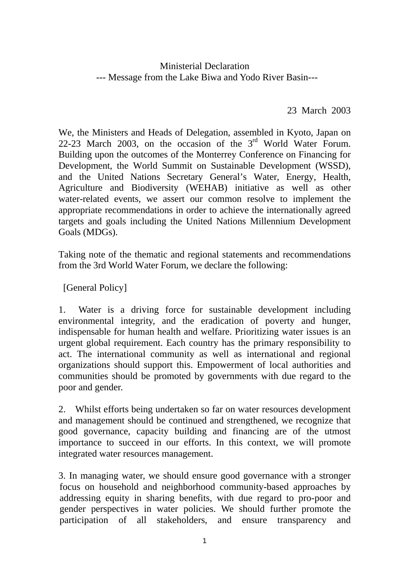## Ministerial Declaration --- Message from the Lake Biwa and Yodo River Basin---

23 March 2003

We, the Ministers and Heads of Delegation, assembled in Kyoto, Japan on 22-23 March 2003, on the occasion of the 3rd World Water Forum. Building upon the outcomes of the Monterrey Conference on Financing for Development, the World Summit on Sustainable Development (WSSD), and the United Nations Secretary General's Water, Energy, Health, Agriculture and Biodiversity (WEHAB) initiative as well as other water-related events, we assert our common resolve to implement the appropriate recommendations in order to achieve the internationally agreed targets and goals including the United Nations Millennium Development Goals (MDGs).

Taking note of the thematic and regional statements and recommendations from the 3rd World Water Forum, we declare the following:

[General Policy]

1. Water is a driving force for sustainable development including environmental integrity, and the eradication of poverty and hunger, indispensable for human health and welfare. Prioritizing water issues is an urgent global requirement. Each country has the primary responsibility to act. The international community as well as international and regional organizations should support this. Empowerment of local authorities and communities should be promoted by governments with due regard to the poor and gender.

2. Whilst efforts being undertaken so far on water resources development and management should be continued and strengthened, we recognize that good governance, capacity building and financing are of the utmost importance to succeed in our efforts. In this context, we will promote integrated water resources management.

3. In managing water, we should ensure good governance with a stronger focus on household and neighborhood community-based approaches by addressing equity in sharing benefits, with due regard to pro-poor and gender perspectives in water policies. We should further promote the participation of all stakeholders, and ensure transparency and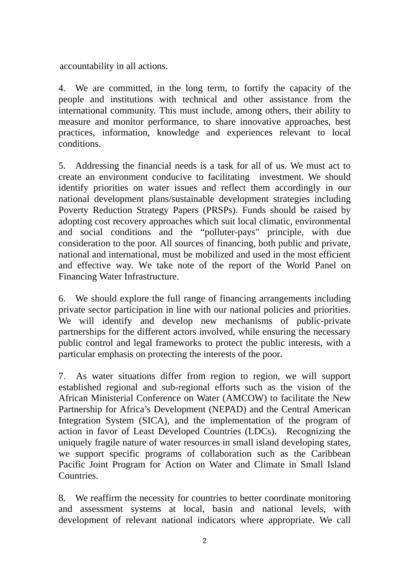accountability in all actions.

4. We are committed, in the long term, to fortify the capacity of the people and institutions with technical and other assistance from the international community. This must include, among others, their ability to measure and monitor performance, to share innovative approaches, best practices, information, knowledge and experiences relevant to local conditions.

5. Addressing the financial needs is a task for all of us. We must act to create an environment conducive to facilitating investment. We should identify priorities on water issues and reflect them accordingly in our national development plans/sustainable development strategies including Poverty Reduction Strategy Papers (PRSPs). Funds should be raised by adopting cost recovery approaches which suit local climatic, environmental and social conditions and the "polluter-pays" principle, with due consideration to the poor. All sources of financing, both public and private, national and international, must be mobilized and used in the most efficient and effective way. We take note of the report of the World Panel on Financing Water Infrastructure.

6. We should explore the full range of financing arrangements including private sector participation in line with our national policies and priorities. We will identify and develop new mechanisms of public-private partnerships for the different actors involved, while ensuring the necessary public control and legal frameworks to protect the public interests, with a particular emphasis on protecting the interests of the poor.

7. As water situations differ from region to region, we will support established regional and sub-regional efforts such as the vision of the African Ministerial Conference on Water (AMCOW) to facilitate the New Partnership for Africa's Development (NEPAD) and the Central American Integration System (SICA), and the implementation of the program of action in favor of Least Developed Countries (LDCs). Recognizing the uniquely fragile nature of water resources in small island developing states, we support specific programs of collaboration such as the Caribbean Pacific Joint Program for Action on Water and Climate in Small Island Countries.

8. We reaffirm the necessity for countries to better coordinate monitoring and assessment systems at local, basin and national levels, with development of relevant national indicators where appropriate. We call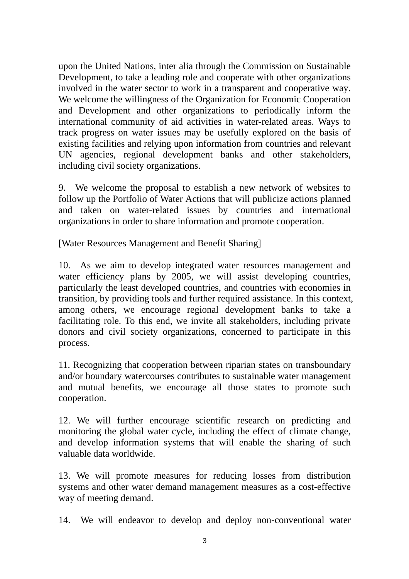upon the United Nations, inter alia through the Commission on Sustainable Development, to take a leading role and cooperate with other organizations involved in the water sector to work in a transparent and cooperative way. We welcome the willingness of the Organization for Economic Cooperation and Development and other organizations to periodically inform the international community of aid activities in water-related areas. Ways to track progress on water issues may be usefully explored on the basis of existing facilities and relying upon information from countries and relevant UN agencies, regional development banks and other stakeholders, including civil society organizations.

9. We welcome the proposal to establish a new network of websites to follow up the Portfolio of Water Actions that will publicize actions planned and taken on water-related issues by countries and international organizations in order to share information and promote cooperation.

[Water Resources Management and Benefit Sharing]

10. As we aim to develop integrated water resources management and water efficiency plans by 2005, we will assist developing countries, particularly the least developed countries, and countries with economies in transition, by providing tools and further required assistance. In this context, among others, we encourage regional development banks to take a facilitating role. To this end, we invite all stakeholders, including private donors and civil society organizations, concerned to participate in this process.

11. Recognizing that cooperation between riparian states on transboundary and/or boundary watercourses contributes to sustainable water management and mutual benefits, we encourage all those states to promote such cooperation.

12. We will further encourage scientific research on predicting and monitoring the global water cycle, including the effect of climate change, and develop information systems that will enable the sharing of such valuable data worldwide.

13. We will promote measures for reducing losses from distribution systems and other water demand management measures as a cost-effective way of meeting demand.

14. We will endeavor to develop and deploy non-conventional water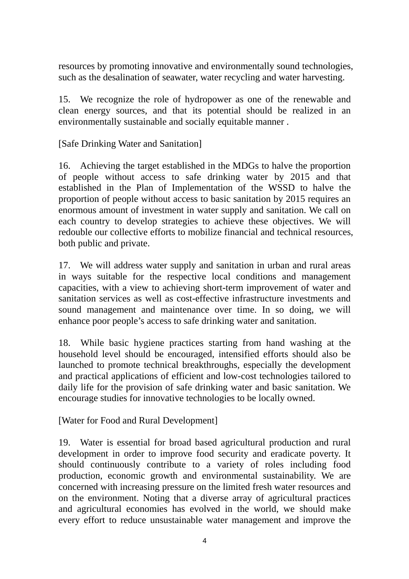resources by promoting innovative and environmentally sound technologies, such as the desalination of seawater, water recycling and water harvesting.

15. We recognize the role of hydropower as one of the renewable and clean energy sources, and that its potential should be realized in an environmentally sustainable and socially equitable manner .

[Safe Drinking Water and Sanitation]

16. Achieving the target established in the MDGs to halve the proportion of people without access to safe drinking water by 2015 and that established in the Plan of Implementation of the WSSD to halve the proportion of people without access to basic sanitation by 2015 requires an enormous amount of investment in water supply and sanitation. We call on each country to develop strategies to achieve these objectives. We will redouble our collective efforts to mobilize financial and technical resources, both public and private.

17. We will address water supply and sanitation in urban and rural areas in ways suitable for the respective local conditions and management capacities, with a view to achieving short-term improvement of water and sanitation services as well as cost-effective infrastructure investments and sound management and maintenance over time. In so doing, we will enhance poor people's access to safe drinking water and sanitation.

18. While basic hygiene practices starting from hand washing at the household level should be encouraged, intensified efforts should also be launched to promote technical breakthroughs, especially the development and practical applications of efficient and low-cost technologies tailored to daily life for the provision of safe drinking water and basic sanitation. We encourage studies for innovative technologies to be locally owned.

[Water for Food and Rural Development]

19. Water is essential for broad based agricultural production and rural development in order to improve food security and eradicate poverty. It should continuously contribute to a variety of roles including food production, economic growth and environmental sustainability. We are concerned with increasing pressure on the limited fresh water resources and on the environment. Noting that a diverse array of agricultural practices and agricultural economies has evolved in the world, we should make every effort to reduce unsustainable water management and improve the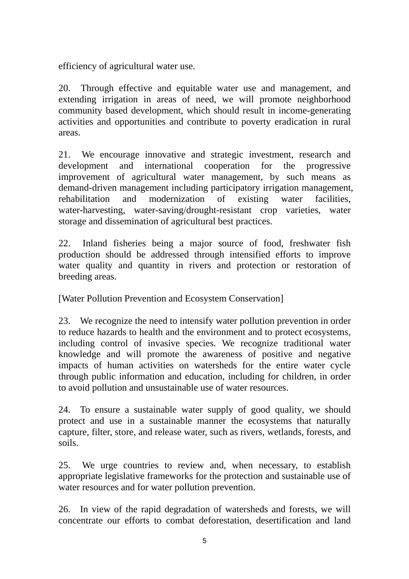efficiency of agricultural water use.

20. Through effective and equitable water use and management, and extending irrigation in areas of need, we will promote neighborhood community based development, which should result in income-generating activities and opportunities and contribute to poverty eradication in rural areas.

21. We encourage innovative and strategic investment, research and development and international cooperation for the progressive improvement of agricultural water management, by such means as demand-driven management including participatory irrigation management, rehabilitation and modernization of existing water facilities, water-harvesting, water-saving/drought-resistant crop varieties, water storage and dissemination of agricultural best practices.

22. Inland fisheries being a major source of food, freshwater fish production should be addressed through intensified efforts to improve water quality and quantity in rivers and protection or restoration of breeding areas.

[Water Pollution Prevention and Ecosystem Conservation]

23. We recognize the need to intensify water pollution prevention in order to reduce hazards to health and the environment and to protect ecosystems, including control of invasive species. We recognize traditional water knowledge and will promote the awareness of positive and negative impacts of human activities on watersheds for the entire water cycle through public information and education, including for children, in order to avoid pollution and unsustainable use of water resources.

24. To ensure a sustainable water supply of good quality, we should protect and use in a sustainable manner the ecosystems that naturally capture, filter, store, and release water, such as rivers, wetlands, forests, and soils.

25. We urge countries to review and, when necessary, to establish appropriate legislative frameworks for the protection and sustainable use of water resources and for water pollution prevention.

26. In view of the rapid degradation of watersheds and forests, we will concentrate our efforts to combat deforestation, desertification and land